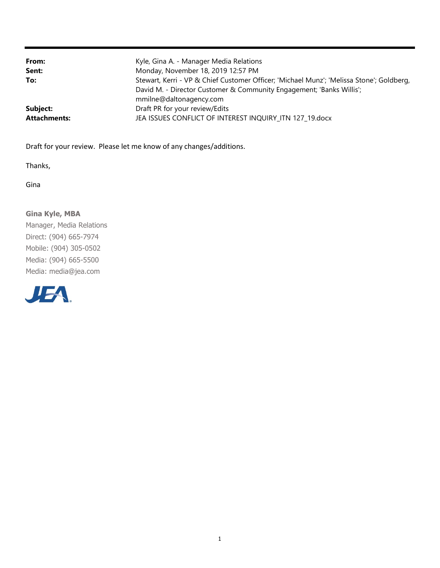| From:<br>Sent:      | Kyle, Gina A. - Manager Media Relations<br>Monday, November 18, 2019 12:57 PM                                                                                                               |
|---------------------|---------------------------------------------------------------------------------------------------------------------------------------------------------------------------------------------|
| To:                 | Stewart, Kerri - VP & Chief Customer Officer; 'Michael Munz'; 'Melissa Stone'; Goldberg,<br>David M. - Director Customer & Community Engagement; 'Banks Willis';<br>mmilne@daltonagency.com |
| Subject:            | Draft PR for your review/Edits                                                                                                                                                              |
| <b>Attachments:</b> | JEA ISSUES CONFLICT OF INTEREST INQUIRY ITN 127 19.docx                                                                                                                                     |

Draft for your review. Please let me know of any changes/additions.

Thanks,

Gina

#### Gina Kyle, MBA

Manager, Media Relations Direct: (904) 665-7974 Mobile: (904) 305-0502 Media: (904) 665-5500 Media: media@jea.com

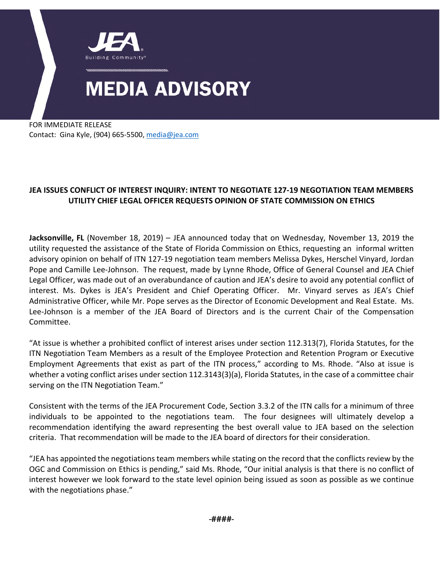

FOR IMMEDIATE RELEASE Contact: Gina Kyle, (904) 665-5500[, media@jea.com](mailto:media@jea.com)

#### **JEA ISSUES CONFLICT OF INTEREST INQUIRY: INTENT TO NEGOTIATE 127-19 NEGOTIATION TEAM MEMBERS UTILITY CHIEF LEGAL OFFICER REQUESTS OPINION OF STATE COMMISSION ON ETHICS**

**Jacksonville, FL** (November 18, 2019) – JEA announced today that on Wednesday, November 13, 2019 the utility requested the assistance of the State of Florida Commission on Ethics, requesting an informal written advisory opinion on behalf of ITN 127-19 negotiation team members Melissa Dykes, Herschel Vinyard, Jordan Pope and Camille Lee-Johnson. The request, made by Lynne Rhode, Office of General Counsel and JEA Chief Legal Officer, was made out of an overabundance of caution and JEA's desire to avoid any potential conflict of interest. Ms. Dykes is JEA's President and Chief Operating Officer. Mr. Vinyard serves as JEA's Chief Administrative Officer, while Mr. Pope serves as the Director of Economic Development and Real Estate. Ms. Lee-Johnson is a member of the JEA Board of Directors and is the current Chair of the Compensation Committee.

"At issue is whether a prohibited conflict of interest arises under section 112.313(7), Florida Statutes, for the ITN Negotiation Team Members as a result of the Employee Protection and Retention Program or Executive Employment Agreements that exist as part of the ITN process," according to Ms. Rhode. "Also at issue is whether a voting conflict arises under section 112.3143(3)(a), Florida Statutes, in the case of a committee chair serving on the ITN Negotiation Team."

Consistent with the terms of the JEA Procurement Code, Section 3.3.2 of the ITN calls for a minimum of three individuals to be appointed to the negotiations team. The four designees will ultimately develop a recommendation identifying the award representing the best overall value to JEA based on the selection criteria. That recommendation will be made to the JEA board of directors for their consideration.

"JEA has appointed the negotiations team members while stating on the record that the conflicts review by the OGC and Commission on Ethics is pending," said Ms. Rhode, "Our initial analysis is that there is no conflict of interest however we look forward to the state level opinion being issued as soon as possible as we continue with the negotiations phase."

-####-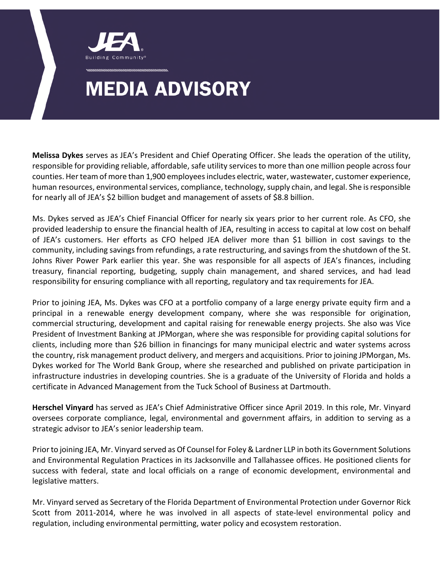

**Melissa Dykes** serves as JEA's President and Chief Operating Officer. She leads the operation of the utility, responsible for providing reliable, affordable, safe utility services to more than one million people across four counties. Her team of more than 1,900 employees includes electric, water, wastewater, customer experience, human resources, environmental services, compliance, technology, supply chain, and legal. She is responsible for nearly all of JEA's \$2 billion budget and management of assets of \$8.8 billion.

Ms. Dykes served as JEA's Chief Financial Officer for nearly six years prior to her current role. As CFO, she provided leadership to ensure the financial health of JEA, resulting in access to capital at low cost on behalf of JEA's customers. Her efforts as CFO helped JEA deliver more than \$1 billion in cost savings to the community, including savings from refundings, a rate restructuring, and savings from the shutdown of the St. Johns River Power Park earlier this year. She was responsible for all aspects of JEA's finances, including treasury, financial reporting, budgeting, supply chain management, and shared services, and had lead responsibility for ensuring compliance with all reporting, regulatory and tax requirements for JEA.

Prior to joining JEA, Ms. Dykes was CFO at a portfolio company of a large energy private equity firm and a principal in a renewable energy development company, where she was responsible for origination, commercial structuring, development and capital raising for renewable energy projects. She also was Vice President of Investment Banking at JPMorgan, where she was responsible for providing capital solutions for clients, including more than \$26 billion in financings for many municipal electric and water systems across the country, risk management product delivery, and mergers and acquisitions. Prior to joining JPMorgan, Ms. Dykes worked for The World Bank Group, where she researched and published on private participation in infrastructure industries in developing countries. She is a graduate of the University of Florida and holds a certificate in Advanced Management from the Tuck School of Business at Dartmouth.

**Herschel Vinyard** has served as JEA's Chief Administrative Officer since April 2019. In this role, Mr. Vinyard oversees corporate compliance, legal, environmental and government affairs, in addition to serving as a strategic advisor to JEA's senior leadership team.

Prior to joining JEA, Mr. Vinyard served as Of Counsel for Foley & Lardner LLP in both its Government Solutions and Environmental Regulation Practices in its Jacksonville and Tallahassee offices. He positioned clients for success with federal, state and local officials on a range of economic development, environmental and legislative matters.

Mr. Vinyard served as Secretary of the Florida Department of Environmental Protection under Governor Rick Scott from 2011-2014, where he was involved in all aspects of state-level environmental policy and regulation, including environmental permitting, water policy and ecosystem restoration.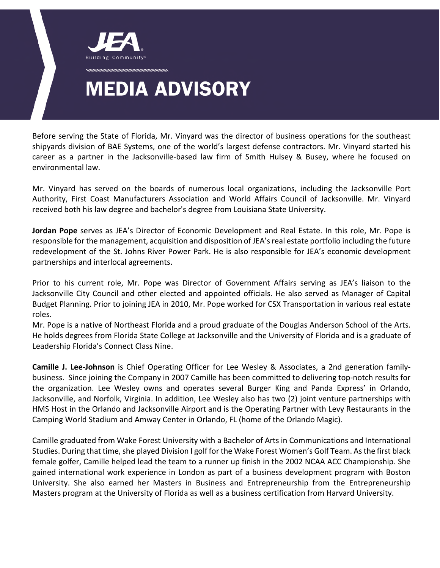

Before serving the State of Florida, Mr. Vinyard was the director of business operations for the southeast shipyards division of BAE Systems, one of the world's largest defense contractors. Mr. Vinyard started his career as a partner in the Jacksonville-based law firm of Smith Hulsey & Busey, where he focused on environmental law.

Mr. Vinyard has served on the boards of numerous local organizations, including the Jacksonville Port Authority, First Coast Manufacturers Association and World Affairs Council of Jacksonville. Mr. Vinyard received both his law degree and bachelor's degree from Louisiana State University.

**Jordan Pope** serves as JEA's Director of Economic Development and Real Estate. In this role, Mr. Pope is responsible for the management, acquisition and disposition of JEA's real estate portfolio including the future redevelopment of the St. Johns River Power Park. He is also responsible for JEA's economic development partnerships and interlocal agreements.

Prior to his current role, Mr. Pope was Director of Government Affairs serving as JEA's liaison to the Jacksonville City Council and other elected and appointed officials. He also served as Manager of Capital Budget Planning. Prior to joining JEA in 2010, Mr. Pope worked for CSX Transportation in various real estate roles.

Mr. Pope is a native of Northeast Florida and a proud graduate of the Douglas Anderson School of the Arts. He holds degrees from Florida State College at Jacksonville and the University of Florida and is a graduate of Leadership Florida's Connect Class Nine.

**Camille J. Lee-Johnson** is Chief Operating Officer for Lee Wesley & Associates, a 2nd generation familybusiness. Since joining the Company in 2007 Camille has been committed to delivering top-notch results for the organization. Lee Wesley owns and operates several Burger King and Panda Express' in Orlando, Jacksonville, and Norfolk, Virginia. In addition, Lee Wesley also has two (2) joint venture partnerships with HMS Host in the Orlando and Jacksonville Airport and is the Operating Partner with Levy Restaurants in the Camping World Stadium and Amway Center in Orlando, FL (home of the Orlando Magic).

Camille graduated from Wake Forest University with a Bachelor of Arts in Communications and International Studies. During that time, she played Division I golf for the Wake Forest Women's Golf Team. As the first black female golfer, Camille helped lead the team to a runner up finish in the 2002 NCAA ACC Championship. She gained international work experience in London as part of a business development program with Boston University. She also earned her Masters in Business and Entrepreneurship from the Entrepreneurship Masters program at the University of Florida as well as a business certification from Harvard University.